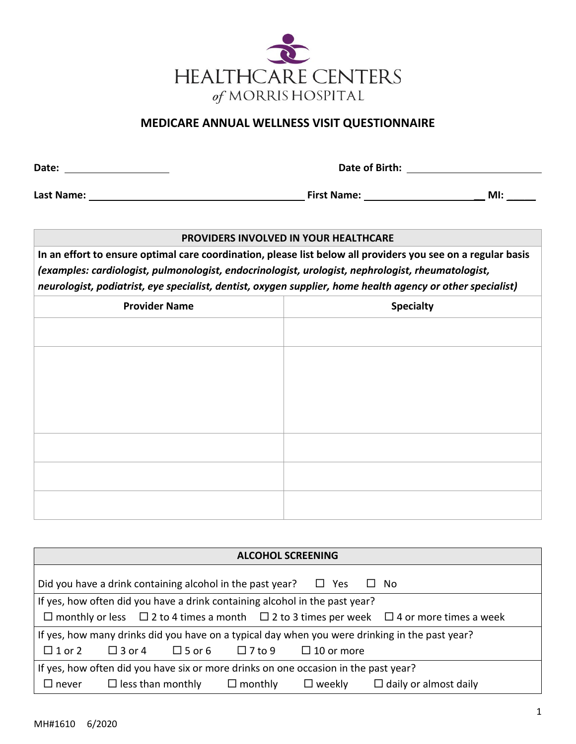

## **MEDICARE ANNUAL WELLNESS VISIT QUESTIONNAIRE**

| Date: |  |  |
|-------|--|--|

**Date of Birth:** <u>**CONSIDER BIRTHS AND POST OF BIRTHS AND POST OF BIRTHS AND POST OF BIRTHS AND POST OF BIRTHS AND POST OF BIRTHS AND POST OF BIRTHS AND POST OF BIRTHS AND POST OF BIRTHS AND POST OF BIRTHS AND POST OF BIRT</u>** 

**Last Name: First Name: \_\_ MI:** \_\_\_\_\_

## **PROVIDERS INVOLVED IN YOUR HEALTHCARE**

**In an effort to ensure optimal care coordination, please list below all providers you see on a regular basis** *(examples: cardiologist, pulmonologist, endocrinologist, urologist, nephrologist, rheumatologist, neurologist, podiatrist, eye specialist, dentist, oxygen supplier, home health agency or other specialist)*

| <b>Provider Name</b> | <b>Specialty</b> |
|----------------------|------------------|
|                      |                  |
|                      |                  |
|                      |                  |
|                      |                  |
|                      |                  |
|                      |                  |
|                      |                  |
|                      |                  |

| <b>ALCOHOL SCREENING</b>                                                                                          |  |  |  |  |  |
|-------------------------------------------------------------------------------------------------------------------|--|--|--|--|--|
| Did you have a drink containing alcohol in the past year? $\Box$ Yes<br>$\Box$ No                                 |  |  |  |  |  |
| If yes, how often did you have a drink containing alcohol in the past year?                                       |  |  |  |  |  |
| $\Box$ monthly or less $\Box$ 2 to 4 times a month $\Box$ 2 to 3 times per week $\Box$ 4 or more times a week     |  |  |  |  |  |
| If yes, how many drinks did you have on a typical day when you were drinking in the past year?                    |  |  |  |  |  |
| $\square$ 1 or 2 $\square$ 3 or 4 $\square$ 5 or 6 $\square$ 7 to 9 $\square$ 10 or more                          |  |  |  |  |  |
| If yes, how often did you have six or more drinks on one occasion in the past year?                               |  |  |  |  |  |
| $\Box$ daily or almost daily<br>$\Box$ less than monthly<br>$\Box$ monthly<br>$\square$ weekly<br>$\square$ never |  |  |  |  |  |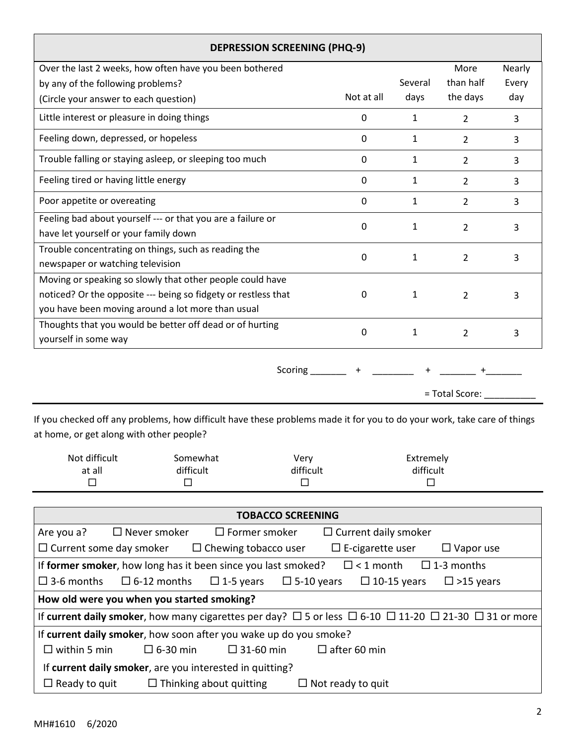| <b>DEPRESSION SCREENING (PHQ-9)</b>                                                      |             |              |                |        |  |
|------------------------------------------------------------------------------------------|-------------|--------------|----------------|--------|--|
| Over the last 2 weeks, how often have you been bothered                                  |             |              | More           | Nearly |  |
| by any of the following problems?                                                        |             | Several      | than half      | Every  |  |
| (Circle your answer to each question)                                                    | Not at all  | days         | the days       | day    |  |
| Little interest or pleasure in doing things                                              | 0           | 1            | 2              | 3      |  |
| Feeling down, depressed, or hopeless                                                     | 0           | 1            | $\overline{2}$ | 3      |  |
| Trouble falling or staying asleep, or sleeping too much                                  | 0           | 1            | $\overline{2}$ | 3      |  |
| Feeling tired or having little energy                                                    | 0           | $\mathbf{1}$ | $\overline{2}$ | 3      |  |
| Poor appetite or overeating                                                              | $\mathbf 0$ | $\mathbf{1}$ | 2              | 3      |  |
| Feeling bad about yourself --- or that you are a failure or                              | $\Omega$    | 1            | 2              | 3      |  |
| have let yourself or your family down                                                    |             |              |                |        |  |
| Trouble concentrating on things, such as reading the<br>newspaper or watching television | $\Omega$    | 1            | $\overline{2}$ | 3      |  |
| Moving or speaking so slowly that other people could have                                |             |              |                |        |  |
| noticed? Or the opposite --- being so fidgety or restless that                           | $\Omega$    | $\mathbf{1}$ | $\overline{2}$ | 3      |  |
| you have been moving around a lot more than usual                                        |             |              |                |        |  |
| Thoughts that you would be better off dead or of hurting                                 | 0           | 1            |                |        |  |
| yourself in some way                                                                     |             |              | $\overline{2}$ | 3      |  |
| Scoring                                                                                  |             |              |                |        |  |
|                                                                                          |             |              | = Total Score: |        |  |

If you checked off any problems, how difficult have these problems made it for you to do your work, take care of things at home, or get along with other people?

| Not difficult | Somewhat  | Very      | Extremely |  |
|---------------|-----------|-----------|-----------|--|
| at all        | difficult | difficult | difficult |  |
|               |           |           |           |  |

|                      |                                                                   | <b>TOBACCO SCREENING</b>       |                   |                             |                    |                                                                                                                                |
|----------------------|-------------------------------------------------------------------|--------------------------------|-------------------|-----------------------------|--------------------|--------------------------------------------------------------------------------------------------------------------------------|
| Are you a?           | $\Box$ Never smoker                                               | $\Box$ Former smoker           |                   | $\Box$ Current daily smoker |                    |                                                                                                                                |
|                      | $\Box$ Current some day smoker $\Box$ Chewing tobacco user        |                                |                   | $\Box$ E-cigarette user     |                    | $\Box$ Vapor use                                                                                                               |
|                      | If former smoker, how long has it been since you last smoked?     |                                |                   |                             |                    | $\Box$ < 1 month $\Box$ 1-3 months                                                                                             |
| $\square$ 3-6 months | $\Box$ 6-12 months                                                | $\Box$ 1-5 years               | $\Box$ 5-10 years |                             | $\Box$ 10-15 years | $\square$ >15 years                                                                                                            |
|                      | How old were you when you started smoking?                        |                                |                   |                             |                    |                                                                                                                                |
|                      |                                                                   |                                |                   |                             |                    | If current daily smoker, how many cigarettes per day? $\Box$ 5 or less $\Box$ 6-10 $\Box$ 11-20 $\Box$ 21-30 $\Box$ 31 or more |
|                      | If current daily smoker, how soon after you wake up do you smoke? |                                |                   |                             |                    |                                                                                                                                |
| $\Box$ within 5 min  | $\Box$ 6-30 min                                                   | $\square$ 31-60 min            |                   | $\Box$ after 60 min         |                    |                                                                                                                                |
|                      | If current daily smoker, are you interested in quitting?          |                                |                   |                             |                    |                                                                                                                                |
| $\Box$ Ready to quit |                                                                   | $\Box$ Thinking about quitting |                   | $\Box$ Not ready to quit    |                    |                                                                                                                                |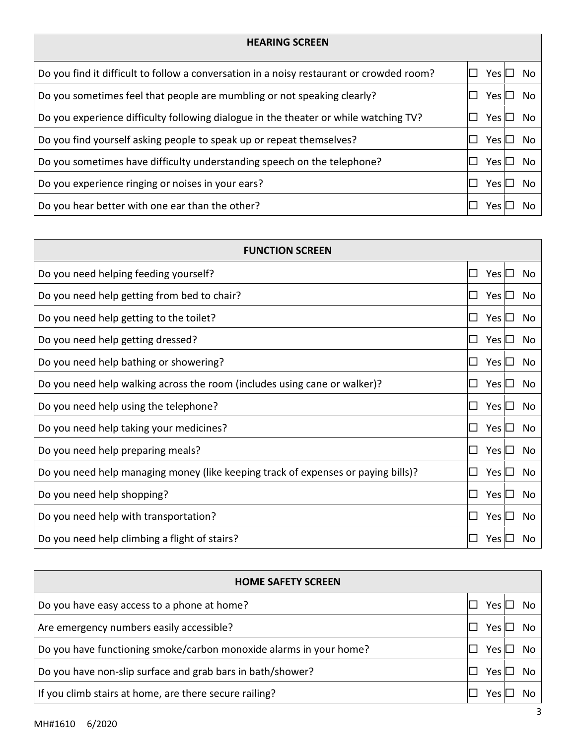| <b>HEARING SCREEN</b>                                                                    |            |      |
|------------------------------------------------------------------------------------------|------------|------|
| Do you find it difficult to follow a conversation in a noisy restaurant or crowded room? | YesI       | No   |
| Do you sometimes feel that people are mumbling or not speaking clearly?                  | Yes $\Box$ | No   |
| Do you experience difficulty following dialogue in the theater or while watching TV?     | Yes $\Box$ | No   |
| Do you find yourself asking people to speak up or repeat themselves?                     | Yes $\Box$ | . No |
| Do you sometimes have difficulty understanding speech on the telephone?                  | Yes $\Box$ | No   |
| Do you experience ringing or noises in your ears?                                        | Yes $\Box$ | No   |
| Do you hear better with one ear than the other?                                          | Yes Il     | Νo   |

| <b>FUNCTION SCREEN</b>                                                            |                          |
|-----------------------------------------------------------------------------------|--------------------------|
| Do you need helping feeding yourself?                                             | Yes $\Box$<br>No<br>I I  |
| Do you need help getting from bed to chair?                                       | Yes $\Box$<br>No         |
| Do you need help getting to the toilet?                                           | No<br>Yes I⊥             |
| Do you need help getting dressed?                                                 | Yes $\Box$<br>No<br>I I  |
| Do you need help bathing or showering?                                            | Yes $\Box$<br>No<br>ப    |
| Do you need help walking across the room (includes using cane or walker)?         | Yes $\Box$<br>No         |
| Do you need help using the telephone?                                             | Yes $\Box$<br>No<br>I I  |
| Do you need help taking your medicines?                                           | Yes $\Box$<br>No<br>I I  |
| Do you need help preparing meals?                                                 | Yes $\square$<br>No<br>ப |
| Do you need help managing money (like keeping track of expenses or paying bills)? | Yes $\Box$<br>No         |
| Do you need help shopping?                                                        | Yes $\Box$<br>No<br>ப    |
| Do you need help with transportation?                                             | Yes $\Box$<br>No         |
| Do you need help climbing a flight of stairs?                                     | Yes<br>No                |

| <b>HOME SAFETY SCREEN</b>                                          |        |    |
|--------------------------------------------------------------------|--------|----|
| Do you have easy access to a phone at home?                        | Yes IL | No |
| Are emergency numbers easily accessible?                           | Yes Il | No |
| Do you have functioning smoke/carbon monoxide alarms in your home? | Yes Il | No |
| Do you have non-slip surface and grab bars in bath/shower?         | Yes II | No |
| If you climb stairs at home, are there secure railing?             | Yes    |    |